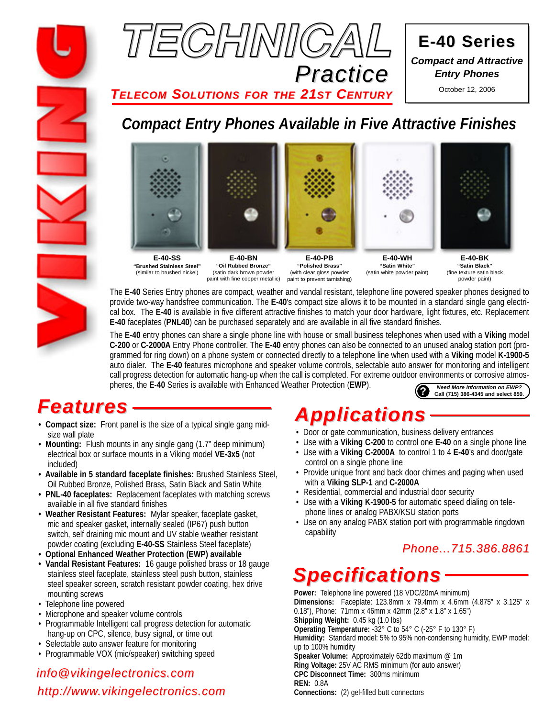



**E-40 Series E-40 Series** *Compact and Attractive Entry Phones*

October 12, 2006

*TELECOM SOLUTIONS FOR THE 21ST CENTURY*

## *Compact Entry Phones Available in Five Attractive Finishes*



**E-40-SS "Brushed Stainless Steel"** (similar to brushed nickel)

**E-40-BN "Oil Rubbed Bronze"** (satin dark brown powder paint with fine copper metallic)

**E-40-PB "Polished Brass"** (with clear gloss powder paint to prevent tarnishing)

**E-40-WH "Satin White"** (satin white powder paint)

**E-40-BK "Satin Black"** (fine texture satin black powder paint)

The **E-40** Series Entry phones are compact, weather and vandal resistant, telephone line powered speaker phones designed to provide two-way handsfree communication. The **E-40**'s compact size allows it to be mounted in a standard single gang electrical box. The **E-40** is available in five different attractive finishes to match your door hardware, light fixtures, etc. Replacement **E-40** faceplates (**PNL40**) can be purchased separately and are available in all five standard finishes.

The **E-40** entry phones can share a single phone line with house or small business telephones when used with a **Viking** model **C-200** or **C-2000A** Entry Phone controller. The **E-40** entry phones can also be connected to an unused analog station port (programmed for ring down) on a phone system or connected directly to a telephone line when used with a **Viking** model **K-1900-5** auto dialer. The **E-40** features microphone and speaker volume controls, selectable auto answer for monitoring and intelligent call progress detection for automatic hang-up when the call is completed. For extreme outdoor environments or corrosive atmospheres, the **E-40** Series is available with Enhanced Weather Protection (**EWP**). **?** *Need More Information on EWP?* **Call (715) 386-4345 and select 859.**

# *Features*

- **Compact size:** Front panel is the size of a typical single gang midsize wall plate
- **Mounting:** Flush mounts in any single gang (1.7" deep minimum) electrical box or surface mounts in a Viking model **VE-3x5** (not included)
- **Available in 5 standard faceplate finishes:** Brushed Stainless Steel, Oil Rubbed Bronze, Polished Brass, Satin Black and Satin White
- **PNL-40 faceplates:** Replacement faceplates with matching screws available in all five standard finishes
- **Weather Resistant Features:** Mylar speaker, faceplate gasket, mic and speaker gasket, internally sealed (IP67) push button switch, self draining mic mount and UV stable weather resistant powder coating (excluding **E-40-SS** Stainless Steel faceplate)
- **Optional Enhanced Weather Protection (EWP) available**
- **Vandal Resistant Features:** 16 gauge polished brass or 18 gauge stainless steel faceplate, stainless steel push button, stainless steel speaker screen, scratch resistant powder coating, hex drive mounting screws
- Telephone line powered
- Microphone and speaker volume controls
- Programmable Intelligent call progress detection for automatic hang-up on CPC, silence, busy signal, or time out
- Selectable auto answer feature for monitoring
- Programmable VOX (mic/speaker) switching speed

## *http://www.vikingelectronics.com info@vikingelectronics.com*

# *Applications*

- Door or gate communication, business delivery entrances
- Use with a **Viking C-200** to control one **E-40** on a single phone line
- Use with a **Viking C-2000A** to control 1 to 4 **E-40**'s and door/gate control on a single phone line
- Provide unique front and back door chimes and paging when used with a **Viking SLP-1** and **C-2000A**
- Residential, commercial and industrial door security
- Use with a **Viking K-1900-5** for automatic speed dialing on telephone lines or analog PABX/KSU station ports
- Use on any analog PABX station port with programmable ringdown capability

## *Phone...715.386.8861*

# *Specifications*

**Power:** Telephone line powered (18 VDC/20mA minimum) **Dimensions:** Faceplate: 123.8mm x 79.4mm x 4.6mm (4.875" x 3.125" x 0.18"), Phone: 71mm x 46mm x 42mm (2.8" x 1.8" x 1.65") **Shipping Weight:** 0.45 kg (1.0 lbs) **Operating Temperature:** -32° C to 54° C (-25° F to 130° F) **Humidity:** Standard model: 5% to 95% non-condensing humidity, EWP model: up to 100% humidity **Speaker Volume:** Approximately 62db maximum @ 1m **Ring Voltage:** 25V AC RMS minimum (for auto answer) **CPC Disconnect Time:** 300ms minimum **REN:** 0.8A **Connections:** (2) gel-filled butt connectors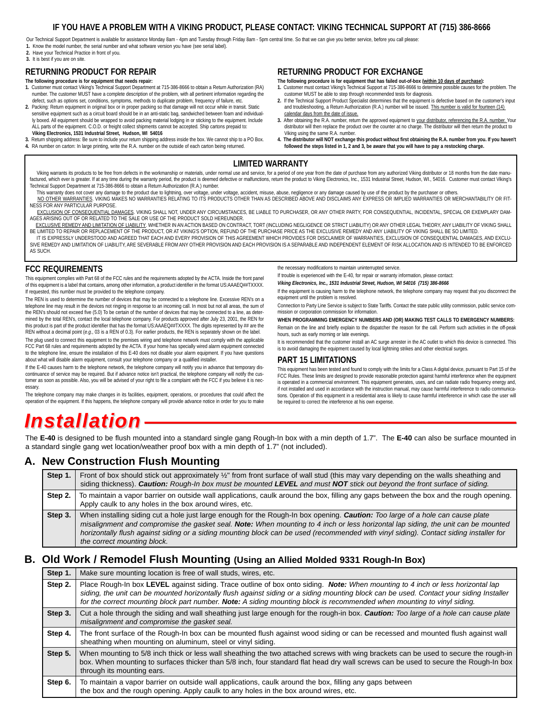### **IF YOU HAVE A PROBLEM WITH A VIKING PRODUCT, PLEASE CONTACT: VIKING TECHNICAL SUPPORT AT (715) 386-8666**

Our Technical Support Department is available for assistance Monday 8am - 4pm and Tuesday through Friday 8am - 5pm central time. So that we can give you better service, before you call please: **1.** Know the model number, the serial number and what software version you have (see serial label).

**2.** Have your Technical Practice in front of you.

#### **3.** It is best if you are on site.

#### **RETURNING PRODUCT FOR REPAIR**

- **The following procedure is for equipment that needs repair:** 1. Customer must contact Viking's Technical Support Department at 715-386-8666 to obtain a Return Authorization (RA)<br>In umber. The customer MUST have a complete description of the problem, with all pertinent information re
- defect, such as options set, conditions, symptoms, methods to duplicate problem, frequency of failure, etc. **2.** Packing: Return equipment in original box or in proper packing so that damage will not occur while in transit. Static sensitive equipment such as a circuit board should be in an anti-static bag, sandwiched between foam and individually boxed. All equipment should be wrapped to avoid packing material lodging in or sticking to the equipment. Include ALL parts of the equipment. C.O.D. or freight collect shipments cannot be accepted. Ship cartons prepaid to: **Viking Electronics, 1531 Industrial Street, Hudson, WI 54016**
- **3.** Return shipping address: Be sure to include your return shipping address inside the box. We cannot ship to a PO Box. **4.** RA number on carton: In large printing, write the R.A. number on the outside of each carton being returned.

#### **RETURNING PRODUCT FOR EXCHANGE**

**The following procedure is for equipment that has failed out-of-box (within 10 days of purchase): 1.** Customer must contact Viking's Technical Support at 715-386-8666 to determine possible causes for the problem. The

- customer MUST be able to step through recommended tests for diagnosis. **2.** If the Technical Support Product Specialist determines that the equipment is defective based on the customer's input and troubleshooting, a Return Authorization (R.A.) number will be issued. This number is valid for fourteen (14) calendar days from the date of issue.
- **3.** After obtaining the R.A. number, return the approved equipment to your distributor, referencing the R.A. number. Your distributor will then replace the product over the counter at no charge. The distributor will then return the product to Viking using the same R.A. number.
- **4. The distributor will NOT exchange this product without first obtaining the R.A. number from you. If you haven't followed the steps listed in 1, 2 and 3, be aware that you will have to pay a restocking charge.**

#### **LIMITED WARRANTY**

Viking warrants its products to be free from defects in the workmanship or materials, under normal use and service, for a period of one year from the date of purchase from any authorized Viking distributor or 18 months fro factured, which ever is greater. If at any time during the warranty period, the product is deemed defective or malfunctions, return the product to Viking Electronics, Inc., 1531 Industrial Street, Hudson, WI., 54016. Custo Technical Support Department at 715-386-8666 to obtain a Return Authorization (R.A.) number.

- This warranty does not cover any damage to the product due to lightning, over voltage, under voltage, accident, misuse, abuse, negligence or any damage caused by use of the product by the purchaser or others. NO OTHER WARRANTIES. VIKING MAKES NO WARRANTIES RELATING TO ITS PRODUCTS OTHER THAN AS DESCRIBED ABOVE AND DISCLAIMS ANY EXPRESS OR IMPLIED WARRANTIES OR MERCHANTABILITY OR FIT-NESS FOR ANY PARTICULAR PURPOSE.
- EXCLUSION OF CONSEQUENTIAL DAMAGES. VIKING SHALL NOT, UNDER ANY CIRCUMSTANCES, BE LIABLE TO PURCHASER, OR ANY OTHER PARTY, FOR CONSEQUENTIAL, INCIDENTAL, SPECIAL OR EXEMPLARY DAM-AGES ARISING OUT OF OR RELATED TO THE SALE OR USE OF THE PRODUCT SOLD HEREUNDER.
- EXCLUSIVE REMEDY AND LIMITATION OF LIABILITY. WHETHER IN AN ACTION BASED ON CONTRACT, TORT (INCLUDING NEGLIGENCE OR STRICT LIABILITY) OR ANY OTHER LEGAL THEORY, ANY LIABILITY OF VIKING SHALL BE LIMITED TO REPAIR OR REPLACEMENT OF THE PRODUCT, OR AT VIKING'S OPTION, REFUND OF THE PURCHASE PRICE AS THE EXCLUSIVE REMEDY AND ANY LIABILITY OF VIKING SHALL BE SO LIMITED.
- IT IS EXPRESSLY UNDERSTOOD AND AGREED THAT EACH AND EVERY PROVISION OF THIS AGREEMENT WHICH PROVIDES FOR DISCLAIMER OF WARRANTIES, EXCLUSION OF CONSEQUENTIAL DAMAGES, AND EXCLU-SIVE REMEDY AND LIMITATION OF LIABILITY, ARE SEVERABLE FROM ANY OTHER PROVISION AND EACH PROVISION IS A SEPARABLE AND INDEPENDENT ELEMENT OF RISK ALLOCATION AND IS INTENDED TO BE ENFORCED AS SUCH.

#### **FCC REQUIREMENTS**

This equipment complies with Part 68 of the FCC rules and the requirements adopted by the ACTA. Inside the front panel of this equipment is a label that contains, among other information, a product identifier in the format US:AAAEQ##TXXXX. If requested, this number must be provided to the telephone company.

The REN is used to determine the number of devices that may be connected to a telephone line. Excessive REN's on a telephone line may result in the devices not ringing in response to an incoming call. In most but not all areas, the sum of the REN's should not exceed five (5.0) To be certain of the number of devices that may be connected to a line, as determined by the total REN's, contact the local telephone company. For products approved after July 23, 2001, the REN for this product is part of the product identifier that has the format US:AAAEQ##TXXXX. The digits represented by ## are the REN without a decimal point (*e.g*., 03 is a REN of 0.3). For earlier products, the REN is separately shown on the label.

The plug used to connect this equipment to the premises wiring and telephone network must comply with the applicable FCC Part 68 rules and requirements adopted by the ACTA. If your home has specially wired alarm equipment connected to the telephone line, ensure the installation of this E-40 does not disable your alarm equipment. If you have questions about what will disable alarm equipment, consult your telephone company or a qualified installer.

If the E-40 causes harm to the telephone network, the telephone company will notify you in advance that temporary discontinuance of service may be required. But if advance notice isn't practical, the telephone company will notify the customer as soon as possible. Also, you will be advised of your right to file a complaint with the FCC if you believe it is necessary.

The telephone company may make changes in its facilities, equipment, operations, or procedures that could affect the operation of the equipment. If this happens, the telephone company will provide advance notice in order for you to make the necessary modifications to maintain uninterrupted service.

If trouble is experienced with the E-40, for repair or warranty information, please contact:

*Viking Electronics, Inc., 1531 Industrial Street, Hudson, WI 54016 (715) 386-8666*

If the equipment is causing harm to the telephone network, the telephone company may request that you disconnect the equipment until the problem is resolved.

Connection to Party Line Service is subject to State Tariffs. Contact the state public utility commission, public service commission or corporation commission for information.

**WHEN PROGRAMMING EMERGENCY NUMBERS AND (OR) MAKING TEST CALLS TO EMERGENCY NUMBERS:**

Remain on the line and briefly explain to the dispatcher the reason for the call. Perform such activities in the off-peak hours, such as early morning or late evenings.

It is recommended that the customer install an AC surge arrester in the AC outlet to which this device is connected. This is to avoid damaging the equipment caused by local lightning strikes and other electrical surges.

#### **PART 15 LIMITATIONS**

This equipment has been tested and found to comply with the limits for a Class A digital device, pursuant to Part 15 of the FCC Rules. These limits are designed to provide reasonable protection against harmful interference when the equipment is operated in a commercial environment. This equipment generates, uses, and can radiate radio frequency energy and, if not installed and used in accordance with the instruction manual, may cause harmful interference to radio communications. Operation of this equipment in a residential area is likely to cause harmful interference in which case the user will be required to correct the interference at his own expense

## *Installation*

The **E-40** is designed to be flush mounted into a standard single gang Rough-In box with a min depth of 1.7". The **E-40** can also be surface mounted in a standard single gang wet location/weather proof box with a min depth of 1.7" (not included).

### **A. New Construction Flush Mounting**

| Step 1. | Front of box should stick out approximately 1/2" from front surface of wall stud (this may vary depending on the walls sheathing and<br>siding thickness). Caution: Rough-In box must be mounted LEVEL and must NOT stick out beyond the front surface of siding.                                                                                                                                                                            |
|---------|----------------------------------------------------------------------------------------------------------------------------------------------------------------------------------------------------------------------------------------------------------------------------------------------------------------------------------------------------------------------------------------------------------------------------------------------|
| Step 2. | To maintain a vapor barrier on outside wall applications, caulk around the box, filling any gaps between the box and the rough opening.<br>Apply caulk to any holes in the box around wires, etc.                                                                                                                                                                                                                                            |
| Step 3. | When installing siding cut a hole just large enough for the Rough-In box opening. Caution: Too large of a hole can cause plate<br>misalignment and compromise the gasket seal. Note: When mounting to 4 inch or less horizontal lap siding, the unit can be mounted<br>horizontally flush against siding or a siding mounting block can be used (recommended with vinyl siding). Contact siding installer for<br>the correct mounting block. |

### **B. Old Work / Remodel Flush Mounting (Using an Allied Molded 9331 Rough-In Box)**

| Step 1. | Make sure mounting location is free of wall studs, wires, etc.                                                                                                                                                                                                                                                                                                                                        |
|---------|-------------------------------------------------------------------------------------------------------------------------------------------------------------------------------------------------------------------------------------------------------------------------------------------------------------------------------------------------------------------------------------------------------|
| Step 2. | Place Rough-In box LEVEL against siding. Trace outline of box onto siding. Note: When mounting to 4 inch or less horizontal lap<br>siding, the unit can be mounted horizontally flush against siding or a siding mounting block can be used. Contact your siding Installer<br>for the correct mounting block part number. Note: A siding mounting block is recommended when mounting to vinyl siding. |
| Step 3. | Cut a hole through the siding and wall sheathing just large enough for the rough-in box. Caution: Too large of a hole can cause plate<br>misalignment and compromise the gasket seal.                                                                                                                                                                                                                 |
| Step 4. | The front surface of the Rough-In box can be mounted flush against wood siding or can be recessed and mounted flush against wall<br>sheathing when mounting on aluminum, steel or vinyl siding.                                                                                                                                                                                                       |
| Step 5. | When mounting to 5/8 inch thick or less wall sheathing the two attached screws with wing brackets can be used to secure the rough-in<br>box. When mounting to surfaces thicker than 5/8 inch, four standard flat head dry wall screws can be used to secure the Rough-In box<br>through its mounting ears.                                                                                            |
| Step 6. | To maintain a vapor barrier on outside wall applications, caulk around the box, filling any gaps between<br>the box and the rough opening. Apply caulk to any holes in the box around wires, etc.                                                                                                                                                                                                     |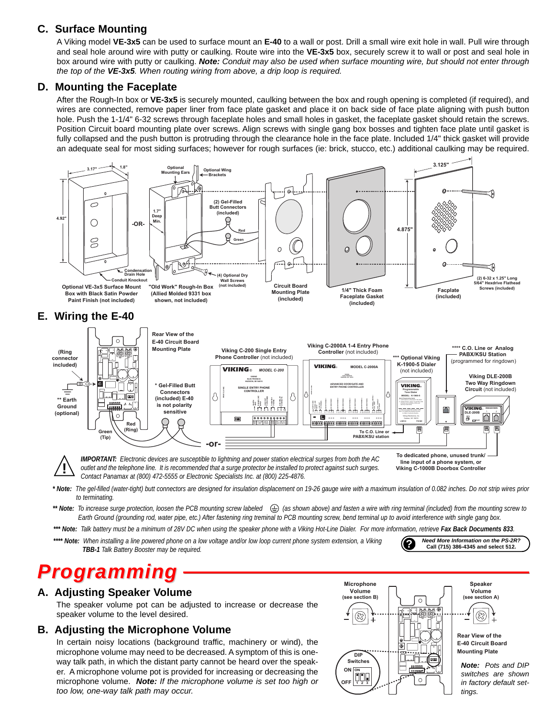### **C. Surface Mounting**

A Viking model **VE-3x5** can be used to surface mount an **E-40** to a wall or post. Drill a small wire exit hole in wall. Pull wire through and seal hole around wire with putty or caulking. Route wire into the **VE-3x5** box, securely screw it to wall or post and seal hole in box around wire with putty or caulking. *Note: Conduit may also be used when surface mounting wire, but should not enter through the top of the VE-3x5. When routing wiring from above, a drip loop is required.*

### **D. Mounting the Faceplate**

After the Rough-In box or **VE-3x5** is securely mounted, caulking between the box and rough opening is completed (if required), and wires are connected, remove paper liner from face plate gasket and place it on back side of face plate aligning with push button hole. Push the 1-1/4" 6-32 screws through faceplate holes and small holes in gasket, the faceplate gasket should retain the screws. Position Circuit board mounting plate over screws. Align screws with single gang box bosses and tighten face plate until gasket is fully collapsed and the push button is protruding through the clearance hole in the face plate. Included 1/4" thick gasket will provide an adequate seal for most siding surfaces; however for rough surfaces (ie: brick, stucco, etc.) additional caulking may be required.



*\* Note: The gel-filled (water-tight) butt connectors are designed for insulation displacement on 19-26 gauge wire with a maximum insulation of 0.082 inches. Do not strip wires prior to terminating.*

\*\* Note: To increase surge protection, loosen the PCB mounting screw labeled  $\quad \bigoplus$  (as shown above) and fasten a wire with ring terminal (included) from the mounting screw to Earth Ground (grounding rod, water pipe, etc.) After fastening ring treminal to PCB mounting screw, bend terminal up to avoid interference with single gang box.

\*\*\* Note: Talk battery must be a minimum of 28V DC when using the speaker phone with a Viking Hot-Line Dialer. For more information, retrieve Fax Back Documents 833.

\*\*\*\* Note: When installing a line powered phone on a low voltage and/or low loop current phone system extension, a Viking Need More Information on the PS-2R?<br>TBB-1 Talk Battery Booster may be required.

# *Programming*

### **A. Adjusting Speaker Volume**

The speaker volume pot can be adjusted to increase or decrease the speaker volume to the level desired.

### **B. Adjusting the Microphone Volume**

In certain noisy locations (background traffic, machinery or wind), the microphone volume may need to be decreased. A symptom of this is oneway talk path, in which the distant party cannot be heard over the speaker. A microphone volume pot is provided for increasing or decreasing the microphone volume. *Note: If the microphone volume is set too high or too low, one-way talk path may occur.*



**Call (715) 386-4345 and select 512.**